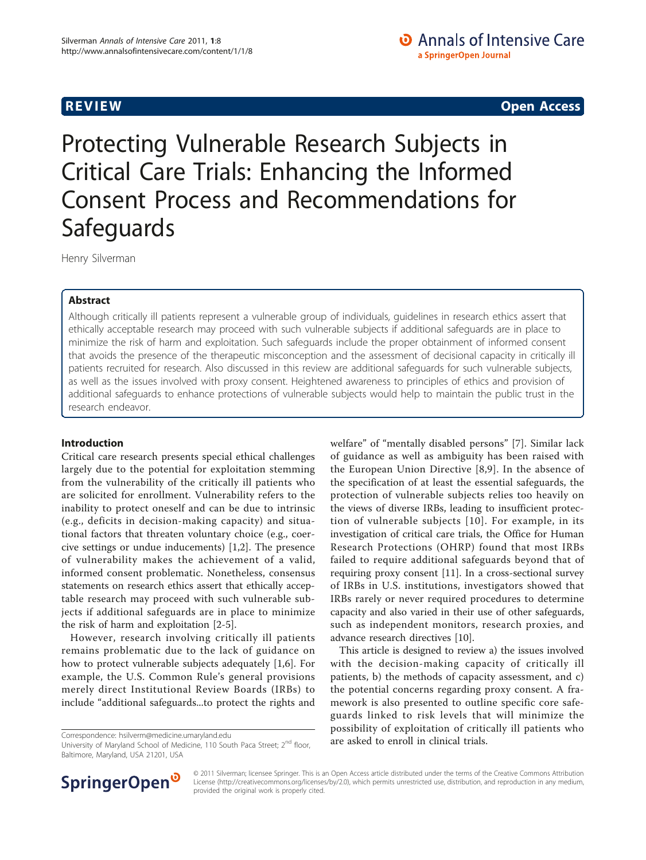# **O** Annals of Intensive Care a SpringerOpen Journal

**REVIEW REVIEW CONSTRUCTER CONSTRUCTION** 

Protecting Vulnerable Research Subjects in Critical Care Trials: Enhancing the Informed Consent Process and Recommendations for **Safeguards** 

Henry Silverman

## Abstract

Although critically ill patients represent a vulnerable group of individuals, guidelines in research ethics assert that ethically acceptable research may proceed with such vulnerable subjects if additional safeguards are in place to minimize the risk of harm and exploitation. Such safeguards include the proper obtainment of informed consent that avoids the presence of the therapeutic misconception and the assessment of decisional capacity in critically ill patients recruited for research. Also discussed in this review are additional safeguards for such vulnerable subjects, as well as the issues involved with proxy consent. Heightened awareness to principles of ethics and provision of additional safeguards to enhance protections of vulnerable subjects would help to maintain the public trust in the research endeavor.

#### Introduction

Critical care research presents special ethical challenges largely due to the potential for exploitation stemming from the vulnerability of the critically ill patients who are solicited for enrollment. Vulnerability refers to the inability to protect oneself and can be due to intrinsic (e.g., deficits in decision-making capacity) and situational factors that threaten voluntary choice (e.g., coercive settings or undue inducements) [\[1,2](#page-5-0)]. The presence of vulnerability makes the achievement of a valid, informed consent problematic. Nonetheless, consensus statements on research ethics assert that ethically acceptable research may proceed with such vulnerable subjects if additional safeguards are in place to minimize the risk of harm and exploitation [[2](#page-5-0)-[5\]](#page-5-0).

However, research involving critically ill patients remains problematic due to the lack of guidance on how to protect vulnerable subjects adequately [[1,6\]](#page-5-0). For example, the U.S. Common Rule's general provisions merely direct Institutional Review Boards (IRBs) to include "additional safeguards...to protect the rights and

welfare" of "mentally disabled persons" [\[7](#page-5-0)]. Similar lack of guidance as well as ambiguity has been raised with the European Union Directive [[8,9\]](#page-5-0). In the absence of the specification of at least the essential safeguards, the protection of vulnerable subjects relies too heavily on the views of diverse IRBs, leading to insufficient protection of vulnerable subjects [[10](#page-5-0)]. For example, in its investigation of critical care trials, the Office for Human Research Protections (OHRP) found that most IRBs failed to require additional safeguards beyond that of requiring proxy consent [[11](#page-5-0)]. In a cross-sectional survey of IRBs in U.S. institutions, investigators showed that IRBs rarely or never required procedures to determine capacity and also varied in their use of other safeguards, such as independent monitors, research proxies, and advance research directives [\[10](#page-5-0)].

This article is designed to review a) the issues involved with the decision-making capacity of critically ill patients, b) the methods of capacity assessment, and c) the potential concerns regarding proxy consent. A framework is also presented to outline specific core safeguards linked to risk levels that will minimize the possibility of exploitation of critically ill patients who Correspondence: [hsilverm@medicine.umaryland.edu](mailto:hsilverm@medicine.umaryland.edu)<br>University of Maryland School of Medicine, 110 South Paca Street; 2<sup>nd</sup> floor, **are asked to enroll in clinical trials.** 



© 2011 Silverman; licensee Springer. This is an Open Access article distributed under the terms of the Creative Commons Attribution License [\(http://creativecommons.org/licenses/by/2.0](http://creativecommons.org/licenses/by/2.0)), which permits unrestricted use, distribution, and reproduction in any medium, provided the original work is properly cited.

Baltimore, Maryland, USA 21201, USA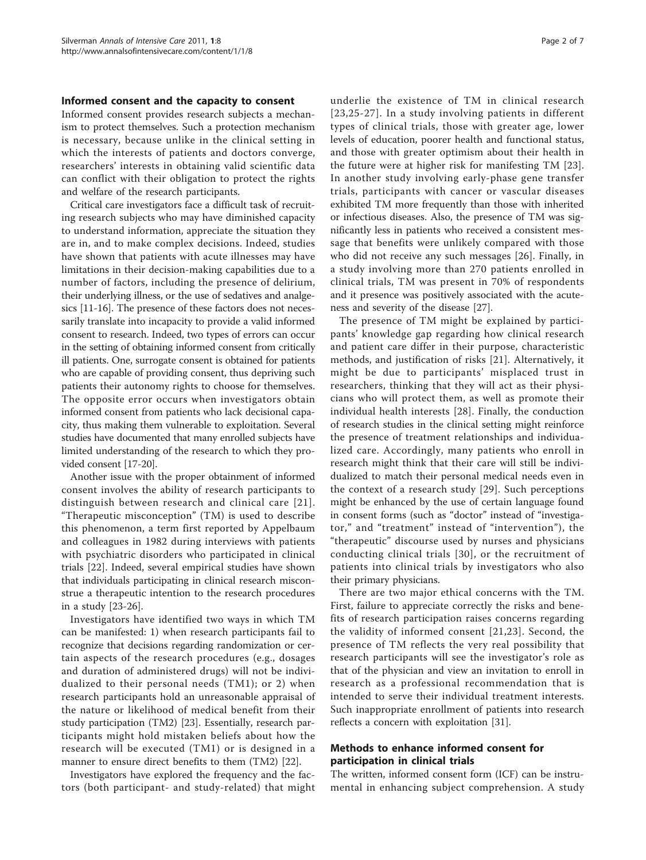#### Informed consent and the capacity to consent

Informed consent provides research subjects a mechanism to protect themselves. Such a protection mechanism is necessary, because unlike in the clinical setting in which the interests of patients and doctors converge, researchers' interests in obtaining valid scientific data can conflict with their obligation to protect the rights and welfare of the research participants.

Critical care investigators face a difficult task of recruiting research subjects who may have diminished capacity to understand information, appreciate the situation they are in, and to make complex decisions. Indeed, studies have shown that patients with acute illnesses may have limitations in their decision-making capabilities due to a number of factors, including the presence of delirium, their underlying illness, or the use of sedatives and analgesics [[11](#page-5-0)-[16\]](#page-5-0). The presence of these factors does not necessarily translate into incapacity to provide a valid informed consent to research. Indeed, two types of errors can occur in the setting of obtaining informed consent from critically ill patients. One, surrogate consent is obtained for patients who are capable of providing consent, thus depriving such patients their autonomy rights to choose for themselves. The opposite error occurs when investigators obtain informed consent from patients who lack decisional capacity, thus making them vulnerable to exploitation. Several studies have documented that many enrolled subjects have limited understanding of the research to which they provided consent [\[17-20\]](#page-5-0).

Another issue with the proper obtainment of informed consent involves the ability of research participants to distinguish between research and clinical care [[21\]](#page-5-0). "Therapeutic misconception" (TM) is used to describe this phenomenon, a term first reported by Appelbaum and colleagues in 1982 during interviews with patients with psychiatric disorders who participated in clinical trials [[22\]](#page-5-0). Indeed, several empirical studies have shown that individuals participating in clinical research misconstrue a therapeutic intention to the research procedures in a study [[23-26\]](#page-5-0).

Investigators have identified two ways in which TM can be manifested: 1) when research participants fail to recognize that decisions regarding randomization or certain aspects of the research procedures (e.g., dosages and duration of administered drugs) will not be individualized to their personal needs (TM1); or 2) when research participants hold an unreasonable appraisal of the nature or likelihood of medical benefit from their study participation (TM2) [\[23\]](#page-5-0). Essentially, research participants might hold mistaken beliefs about how the research will be executed (TM1) or is designed in a manner to ensure direct benefits to them (TM2) [\[22\]](#page-5-0).

Investigators have explored the frequency and the factors (both participant- and study-related) that might

underlie the existence of TM in clinical research [[23,25-27](#page-5-0)]. In a study involving patients in different types of clinical trials, those with greater age, lower levels of education, poorer health and functional status, and those with greater optimism about their health in the future were at higher risk for manifesting TM [\[23](#page-5-0)]. In another study involving early-phase gene transfer trials, participants with cancer or vascular diseases exhibited TM more frequently than those with inherited or infectious diseases. Also, the presence of TM was significantly less in patients who received a consistent message that benefits were unlikely compared with those who did not receive any such messages [[26](#page-5-0)]. Finally, in a study involving more than 270 patients enrolled in clinical trials, TM was present in 70% of respondents and it presence was positively associated with the acuteness and severity of the disease [\[27](#page-5-0)].

The presence of TM might be explained by participants' knowledge gap regarding how clinical research and patient care differ in their purpose, characteristic methods, and justification of risks [[21\]](#page-5-0). Alternatively, it might be due to participants' misplaced trust in researchers, thinking that they will act as their physicians who will protect them, as well as promote their individual health interests [[28\]](#page-5-0). Finally, the conduction of research studies in the clinical setting might reinforce the presence of treatment relationships and individualized care. Accordingly, many patients who enroll in research might think that their care will still be individualized to match their personal medical needs even in the context of a research study [[29\]](#page-6-0). Such perceptions might be enhanced by the use of certain language found in consent forms (such as "doctor" instead of "investigator," and "treatment" instead of "intervention"), the "therapeutic" discourse used by nurses and physicians conducting clinical trials [[30](#page-6-0)], or the recruitment of patients into clinical trials by investigators who also their primary physicians.

There are two major ethical concerns with the TM. First, failure to appreciate correctly the risks and benefits of research participation raises concerns regarding the validity of informed consent [[21,23\]](#page-5-0). Second, the presence of TM reflects the very real possibility that research participants will see the investigator's role as that of the physician and view an invitation to enroll in research as a professional recommendation that is intended to serve their individual treatment interests. Such inappropriate enrollment of patients into research reflects a concern with exploitation [\[31](#page-6-0)].

## Methods to enhance informed consent for participation in clinical trials

The written, informed consent form (ICF) can be instrumental in enhancing subject comprehension. A study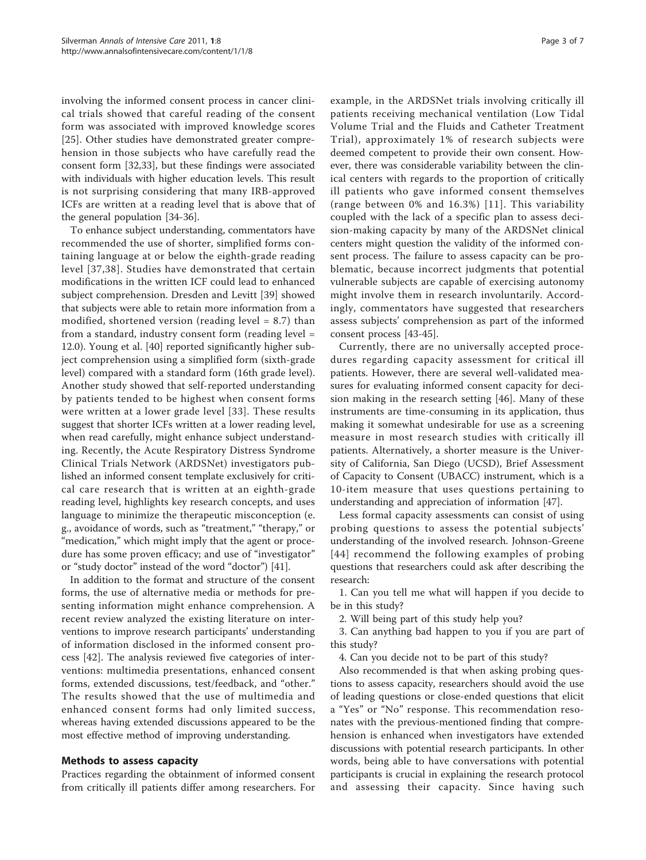involving the informed consent process in cancer clinical trials showed that careful reading of the consent form was associated with improved knowledge scores [[25](#page-5-0)]. Other studies have demonstrated greater comprehension in those subjects who have carefully read the consent form [\[32,33](#page-6-0)], but these findings were associated with individuals with higher education levels. This result is not surprising considering that many IRB-approved ICFs are written at a reading level that is above that of the general population [[34](#page-6-0)-[36\]](#page-6-0).

To enhance subject understanding, commentators have recommended the use of shorter, simplified forms containing language at or below the eighth-grade reading level [[37](#page-6-0),[38](#page-6-0)]. Studies have demonstrated that certain modifications in the written ICF could lead to enhanced subject comprehension. Dresden and Levitt [\[39](#page-6-0)] showed that subjects were able to retain more information from a modified, shortened version (reading level = 8.7) than from a standard, industry consent form (reading level = 12.0). Young et al. [\[40](#page-6-0)] reported significantly higher subject comprehension using a simplified form (sixth-grade level) compared with a standard form (16th grade level). Another study showed that self-reported understanding by patients tended to be highest when consent forms were written at a lower grade level [[33](#page-6-0)]. These results suggest that shorter ICFs written at a lower reading level, when read carefully, might enhance subject understanding. Recently, the Acute Respiratory Distress Syndrome Clinical Trials Network (ARDSNet) investigators published an informed consent template exclusively for critical care research that is written at an eighth-grade reading level, highlights key research concepts, and uses language to minimize the therapeutic misconception (e. g., avoidance of words, such as "treatment," "therapy," or "medication," which might imply that the agent or procedure has some proven efficacy; and use of "investigator" or "study doctor" instead of the word "doctor") [[41\]](#page-6-0).

In addition to the format and structure of the consent forms, the use of alternative media or methods for presenting information might enhance comprehension. A recent review analyzed the existing literature on interventions to improve research participants' understanding of information disclosed in the informed consent process [[42\]](#page-6-0). The analysis reviewed five categories of interventions: multimedia presentations, enhanced consent forms, extended discussions, test/feedback, and "other." The results showed that the use of multimedia and enhanced consent forms had only limited success, whereas having extended discussions appeared to be the most effective method of improving understanding.

## Methods to assess capacity

Practices regarding the obtainment of informed consent from critically ill patients differ among researchers. For example, in the ARDSNet trials involving critically ill patients receiving mechanical ventilation (Low Tidal Volume Trial and the Fluids and Catheter Treatment Trial), approximately 1% of research subjects were deemed competent to provide their own consent. However, there was considerable variability between the clinical centers with regards to the proportion of critically ill patients who gave informed consent themselves (range between 0% and 16.3%) [[11\]](#page-5-0). This variability coupled with the lack of a specific plan to assess decision-making capacity by many of the ARDSNet clinical centers might question the validity of the informed consent process. The failure to assess capacity can be problematic, because incorrect judgments that potential vulnerable subjects are capable of exercising autonomy might involve them in research involuntarily. Accordingly, commentators have suggested that researchers assess subjects' comprehension as part of the informed consent process [\[43-45](#page-6-0)].

Currently, there are no universally accepted procedures regarding capacity assessment for critical ill patients. However, there are several well-validated measures for evaluating informed consent capacity for decision making in the research setting [[46\]](#page-6-0). Many of these instruments are time-consuming in its application, thus making it somewhat undesirable for use as a screening measure in most research studies with critically ill patients. Alternatively, a shorter measure is the University of California, San Diego (UCSD), Brief Assessment of Capacity to Consent (UBACC) instrument, which is a 10-item measure that uses questions pertaining to understanding and appreciation of information [[47\]](#page-6-0).

Less formal capacity assessments can consist of using probing questions to assess the potential subjects' understanding of the involved research. Johnson-Greene [[44](#page-6-0)] recommend the following examples of probing questions that researchers could ask after describing the research:

1. Can you tell me what will happen if you decide to be in this study?

2. Will being part of this study help you?

3. Can anything bad happen to you if you are part of this study?

4. Can you decide not to be part of this study?

Also recommended is that when asking probing questions to assess capacity, researchers should avoid the use of leading questions or close-ended questions that elicit a "Yes" or "No" response. This recommendation resonates with the previous-mentioned finding that comprehension is enhanced when investigators have extended discussions with potential research participants. In other words, being able to have conversations with potential participants is crucial in explaining the research protocol and assessing their capacity. Since having such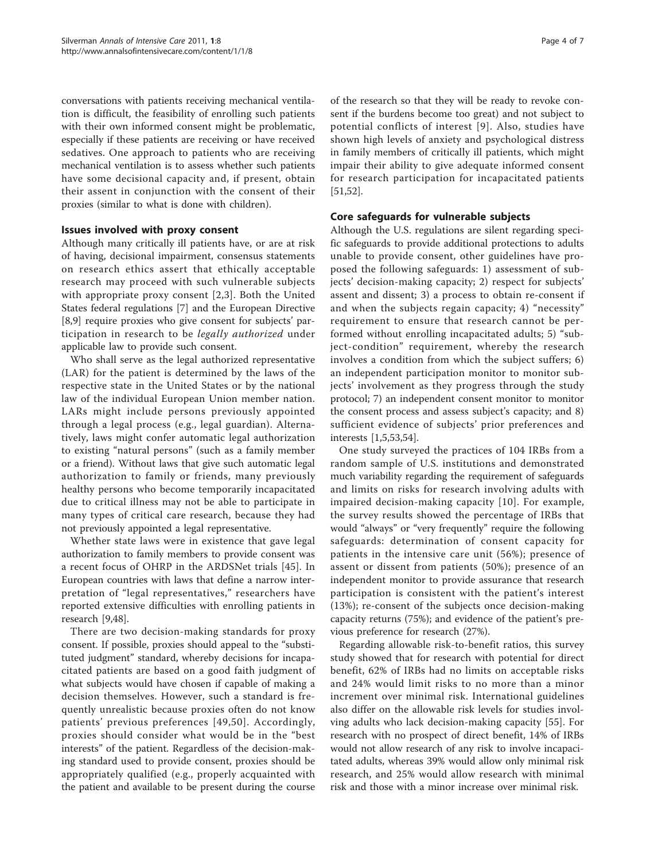conversations with patients receiving mechanical ventilation is difficult, the feasibility of enrolling such patients with their own informed consent might be problematic, especially if these patients are receiving or have received sedatives. One approach to patients who are receiving mechanical ventilation is to assess whether such patients have some decisional capacity and, if present, obtain their assent in conjunction with the consent of their proxies (similar to what is done with children).

## Issues involved with proxy consent

Although many critically ill patients have, or are at risk of having, decisional impairment, consensus statements on research ethics assert that ethically acceptable research may proceed with such vulnerable subjects with appropriate proxy consent [[2](#page-5-0),[3\]](#page-5-0). Both the United States federal regulations [[7\]](#page-5-0) and the European Directive [[8,9\]](#page-5-0) require proxies who give consent for subjects' participation in research to be legally authorized under applicable law to provide such consent.

Who shall serve as the legal authorized representative (LAR) for the patient is determined by the laws of the respective state in the United States or by the national law of the individual European Union member nation. LARs might include persons previously appointed through a legal process (e.g., legal guardian). Alternatively, laws might confer automatic legal authorization to existing "natural persons" (such as a family member or a friend). Without laws that give such automatic legal authorization to family or friends, many previously healthy persons who become temporarily incapacitated due to critical illness may not be able to participate in many types of critical care research, because they had not previously appointed a legal representative.

Whether state laws were in existence that gave legal authorization to family members to provide consent was a recent focus of OHRP in the ARDSNet trials [[45\]](#page-6-0). In European countries with laws that define a narrow interpretation of "legal representatives," researchers have reported extensive difficulties with enrolling patients in research [[9,](#page-5-0)[48\]](#page-6-0).

There are two decision-making standards for proxy consent. If possible, proxies should appeal to the "substituted judgment" standard, whereby decisions for incapacitated patients are based on a good faith judgment of what subjects would have chosen if capable of making a decision themselves. However, such a standard is frequently unrealistic because proxies often do not know patients' previous preferences [[49,50\]](#page-6-0). Accordingly, proxies should consider what would be in the "best interests" of the patient. Regardless of the decision-making standard used to provide consent, proxies should be appropriately qualified (e.g., properly acquainted with the patient and available to be present during the course

of the research so that they will be ready to revoke consent if the burdens become too great) and not subject to potential conflicts of interest [[9](#page-5-0)]. Also, studies have shown high levels of anxiety and psychological distress in family members of critically ill patients, which might impair their ability to give adequate informed consent for research participation for incapacitated patients [[51,52\]](#page-6-0).

### Core safeguards for vulnerable subjects

Although the U.S. regulations are silent regarding specific safeguards to provide additional protections to adults unable to provide consent, other guidelines have proposed the following safeguards: 1) assessment of subjects' decision-making capacity; 2) respect for subjects' assent and dissent; 3) a process to obtain re-consent if and when the subjects regain capacity; 4) "necessity" requirement to ensure that research cannot be performed without enrolling incapacitated adults; 5) "subject-condition" requirement, whereby the research involves a condition from which the subject suffers; 6) an independent participation monitor to monitor subjects' involvement as they progress through the study protocol; 7) an independent consent monitor to monitor the consent process and assess subject's capacity; and 8) sufficient evidence of subjects' prior preferences and interests [\[1,5](#page-5-0)[,53,54\]](#page-6-0).

One study surveyed the practices of 104 IRBs from a random sample of U.S. institutions and demonstrated much variability regarding the requirement of safeguards and limits on risks for research involving adults with impaired decision-making capacity [[10](#page-5-0)]. For example, the survey results showed the percentage of IRBs that would "always" or "very frequently" require the following safeguards: determination of consent capacity for patients in the intensive care unit (56%); presence of assent or dissent from patients (50%); presence of an independent monitor to provide assurance that research participation is consistent with the patient's interest (13%); re-consent of the subjects once decision-making capacity returns (75%); and evidence of the patient's previous preference for research (27%).

Regarding allowable risk-to-benefit ratios, this survey study showed that for research with potential for direct benefit, 62% of IRBs had no limits on acceptable risks and 24% would limit risks to no more than a minor increment over minimal risk. International guidelines also differ on the allowable risk levels for studies involving adults who lack decision-making capacity [[55\]](#page-6-0). For research with no prospect of direct benefit, 14% of IRBs would not allow research of any risk to involve incapacitated adults, whereas 39% would allow only minimal risk research, and 25% would allow research with minimal risk and those with a minor increase over minimal risk.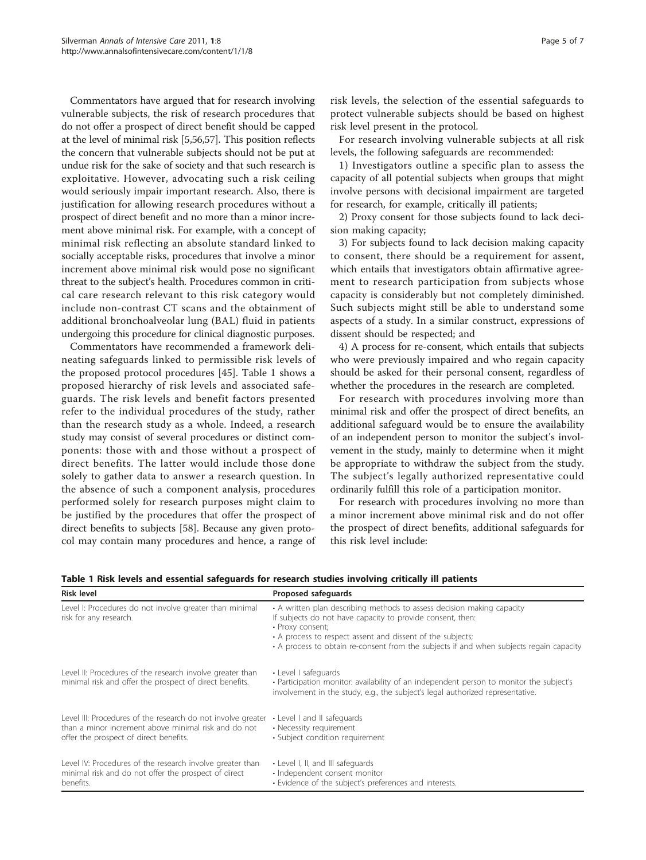Commentators have argued that for research involving vulnerable subjects, the risk of research procedures that do not offer a prospect of direct benefit should be capped at the level of minimal risk [\[5](#page-5-0)[,56,57](#page-6-0)]. This position reflects the concern that vulnerable subjects should not be put at undue risk for the sake of society and that such research is exploitative. However, advocating such a risk ceiling would seriously impair important research. Also, there is justification for allowing research procedures without a prospect of direct benefit and no more than a minor increment above minimal risk. For example, with a concept of minimal risk reflecting an absolute standard linked to socially acceptable risks, procedures that involve a minor increment above minimal risk would pose no significant threat to the subject's health. Procedures common in critical care research relevant to this risk category would include non-contrast CT scans and the obtainment of additional bronchoalveolar lung (BAL) fluid in patients undergoing this procedure for clinical diagnostic purposes.

Commentators have recommended a framework delineating safeguards linked to permissible risk levels of the proposed protocol procedures [\[45](#page-6-0)]. Table 1 shows a proposed hierarchy of risk levels and associated safeguards. The risk levels and benefit factors presented refer to the individual procedures of the study, rather than the research study as a whole. Indeed, a research study may consist of several procedures or distinct components: those with and those without a prospect of direct benefits. The latter would include those done solely to gather data to answer a research question. In the absence of such a component analysis, procedures performed solely for research purposes might claim to be justified by the procedures that offer the prospect of direct benefits to subjects [\[58](#page-6-0)]. Because any given protocol may contain many procedures and hence, a range of risk levels, the selection of the essential safeguards to protect vulnerable subjects should be based on highest risk level present in the protocol.

For research involving vulnerable subjects at all risk levels, the following safeguards are recommended:

1) Investigators outline a specific plan to assess the capacity of all potential subjects when groups that might involve persons with decisional impairment are targeted for research, for example, critically ill patients;

2) Proxy consent for those subjects found to lack decision making capacity;

3) For subjects found to lack decision making capacity to consent, there should be a requirement for assent, which entails that investigators obtain affirmative agreement to research participation from subjects whose capacity is considerably but not completely diminished. Such subjects might still be able to understand some aspects of a study. In a similar construct, expressions of dissent should be respected; and

4) A process for re-consent, which entails that subjects who were previously impaired and who regain capacity should be asked for their personal consent, regardless of whether the procedures in the research are completed.

For research with procedures involving more than minimal risk and offer the prospect of direct benefits, an additional safeguard would be to ensure the availability of an independent person to monitor the subject's involvement in the study, mainly to determine when it might be appropriate to withdraw the subject from the study. The subject's legally authorized representative could ordinarily fulfill this role of a participation monitor.

For research with procedures involving no more than a minor increment above minimal risk and do not offer the prospect of direct benefits, additional safeguards for this risk level include:

Table 1 Risk levels and essential safeguards for research studies involving critically ill patients

| <b>Risk level</b>                                                                                                                                              | Proposed safeguards                                                                                                                                                                                                                                                                                               |
|----------------------------------------------------------------------------------------------------------------------------------------------------------------|-------------------------------------------------------------------------------------------------------------------------------------------------------------------------------------------------------------------------------------------------------------------------------------------------------------------|
| Level I: Procedures do not involve greater than minimal<br>risk for any research.                                                                              | • A written plan describing methods to assess decision making capacity<br>If subjects do not have capacity to provide consent, then:<br>• Proxy consent;<br>• A process to respect assent and dissent of the subjects;<br>• A process to obtain re-consent from the subjects if and when subjects regain capacity |
| Level II: Procedures of the research involve greater than<br>minimal risk and offer the prospect of direct benefits.                                           | • Level I safeguards<br>• Participation monitor: availability of an independent person to monitor the subject's<br>involvement in the study, e.g., the subject's legal authorized representative.                                                                                                                 |
| Level III: Procedures of the research do not involve greater<br>than a minor increment above minimal risk and do not<br>offer the prospect of direct benefits. | • Level I and II safeguards<br>• Necessity requirement<br>· Subject condition requirement                                                                                                                                                                                                                         |
| Level IV: Procedures of the research involve greater than<br>minimal risk and do not offer the prospect of direct<br>benefits.                                 | • Level I, II, and III safeguards<br>· Independent consent monitor<br>· Evidence of the subject's preferences and interests.                                                                                                                                                                                      |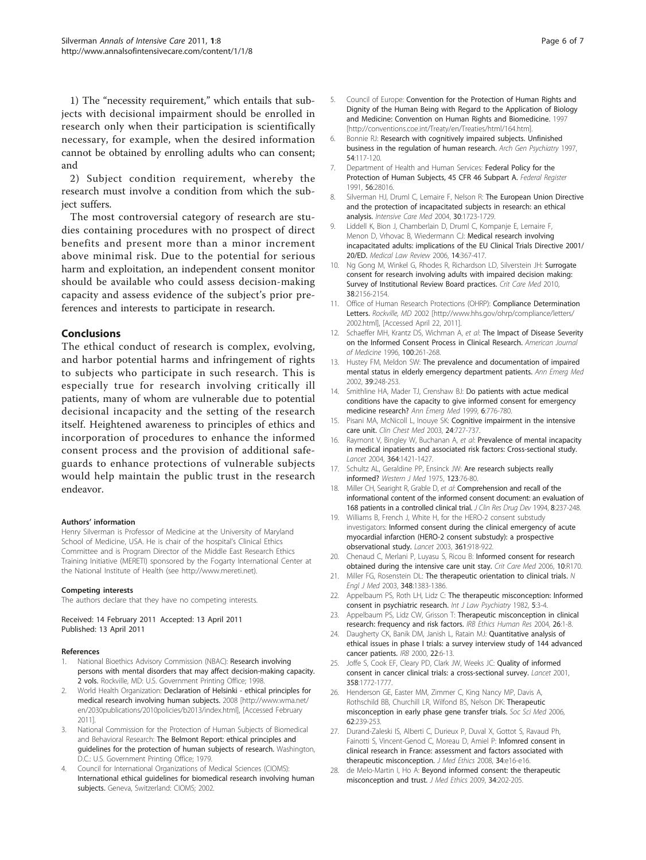<span id="page-5-0"></span>1) The "necessity requirement," which entails that subjects with decisional impairment should be enrolled in research only when their participation is scientifically necessary, for example, when the desired information cannot be obtained by enrolling adults who can consent; and

2) Subject condition requirement, whereby the research must involve a condition from which the subject suffers.

The most controversial category of research are studies containing procedures with no prospect of direct benefits and present more than a minor increment above minimal risk. Due to the potential for serious harm and exploitation, an independent consent monitor should be available who could assess decision-making capacity and assess evidence of the subject's prior preferences and interests to participate in research.

## Conclusions

The ethical conduct of research is complex, evolving, and harbor potential harms and infringement of rights to subjects who participate in such research. This is especially true for research involving critically ill patients, many of whom are vulnerable due to potential decisional incapacity and the setting of the research itself. Heightened awareness to principles of ethics and incorporation of procedures to enhance the informed consent process and the provision of additional safeguards to enhance protections of vulnerable subjects would help maintain the public trust in the research endeavor.

#### Authors' information

Henry Silverman is Professor of Medicine at the University of Maryland School of Medicine, USA. He is chair of the hospital's Clinical Ethics Committee and is Program Director of the Middle East Research Ethics Training Initiative (MERETI) sponsored by the Fogarty International Center at the National Institute of Health (see<http://www.mereti.net>).

#### Competing interests

The authors declare that they have no competing interests.

Received: 14 February 2011 Accepted: 13 April 2011 Published: 13 April 2011

#### References

- National Bioethics Advisory Commission (NBAC): Research involving persons with mental disorders that may affect decision-making capacity. 2 vols. Rockville, MD: U.S. Government Printing Office; 1998.
- 2. World Health Organization: Declaration of Helsinki ethical principles for medical research involving human subjects. 2008 [\[http://www.wma.net/](http://www.wma.net/en/2030publications/2010policies/b2013/index.html) [en/2030publications/2010policies/b2013/index.html\]](http://www.wma.net/en/2030publications/2010policies/b2013/index.html), [Accessed February 2011].
- 3. National Commission for the Protection of Human Subjects of Biomedical and Behavioral Research: The Belmont Report: ethical principles and guidelines for the protection of human subjects of research. Washington, D.C.: U.S. Government Printing Office; 1979.
- 4. Council for International Organizations of Medical Sciences (CIOMS): International ethical guidelines for biomedical research involving human subjects. Geneva, Switzerland: CIOMS; 2002.
- 5. Council of Europe: Convention for the Protection of Human Rights and Dignity of the Human Being with Regard to the Application of Biology and Medicine: Convention on Human Rights and Biomedicine. 1997 [<http://conventions.coe.int/Treaty/en/Treaties/html/164.htm>].
- 6. Bonnie RJ: [Research with cognitively impaired subjects. Unfinished](http://www.ncbi.nlm.nih.gov/pubmed/9040278?dopt=Abstract) [business in the regulation of human research.](http://www.ncbi.nlm.nih.gov/pubmed/9040278?dopt=Abstract) Arch Gen Psychiatry 1997, 54:117-120.
- 7. Department of Health and Human Services: Federal Policy for the Protection of Human Subjects, 45 CFR 46 Subpart A. Federal Register 1991, 56:28016.
- 8. Silverman HJ, Druml C, Lemaire F, Nelson R: [The European Union Directive](http://www.ncbi.nlm.nih.gov/pubmed/15232680?dopt=Abstract) [and the protection of incapacitated subjects in research: an ethical](http://www.ncbi.nlm.nih.gov/pubmed/15232680?dopt=Abstract) [analysis.](http://www.ncbi.nlm.nih.gov/pubmed/15232680?dopt=Abstract) Intensive Care Med 2004, 30:1723-1729.
- 9. Liddell K, Bion J, Chamberlain D, Druml C, Kompanje E, Lemaire F, Menon D, Vrhovac B, Wiedermann CJ: [Medical research involving](http://www.ncbi.nlm.nih.gov/pubmed/16928731?dopt=Abstract) [incapacitated adults: implications of the EU Clinical Trials Directive 2001/](http://www.ncbi.nlm.nih.gov/pubmed/16928731?dopt=Abstract) [20/ED.](http://www.ncbi.nlm.nih.gov/pubmed/16928731?dopt=Abstract) Medical Law Review 2006, 14:367-417.
- 10. Ng Gong M, Winkel G, Rhodes R, Richardson LD, Silverstein JH: Surrogate consent for research involving adults with impaired decision making: Survey of Institutional Review Board practices. Crit Care Med 2010, 38:2156-2154.
- 11. Office of Human Research Protections (OHRP): Compliance Determination Letters. Rockville, MD 2002 [[http://www.hhs.gov/ohrp/compliance/letters/](http://www.hhs.gov/ohrp/compliance/letters/2002.html) [2002.html\]](http://www.hhs.gov/ohrp/compliance/letters/2002.html), [Accessed April 22, 2011].
- 12. Schaeffer MH, Krantz DS, Wichman A, et al: [The Impact of Disease Severity](http://www.ncbi.nlm.nih.gov/pubmed/8629670?dopt=Abstract) [on the Informed Consent Process in Clinical Research.](http://www.ncbi.nlm.nih.gov/pubmed/8629670?dopt=Abstract) American Journal of Medicine 1996, 100:261-268.
- 13. Hustey FM, Meldon SW: [The prevalence and documentation of impaired](http://www.ncbi.nlm.nih.gov/pubmed/11867976?dopt=Abstract) [mental status in elderly emergency department patients.](http://www.ncbi.nlm.nih.gov/pubmed/11867976?dopt=Abstract) Ann Emerg Med 2002, 39:248-253.
- 14. Smithline HA, Mader TJ, Crenshaw BJ: Do patients with actue medical conditions have the capacity to give informed consent for emergency medicine research? Ann Emerg Med 1999, 6:776-780.
- 15. Pisani MA, McNicoll L, Inouye SK: [Cognitive impairment in the intensive](http://www.ncbi.nlm.nih.gov/pubmed/14710700?dopt=Abstract) [care unit.](http://www.ncbi.nlm.nih.gov/pubmed/14710700?dopt=Abstract) Clin Chest Med 2003, 24:727-737.
- 16. Raymont V, Bingley W, Buchanan A, et al: [Prevalence of mental incapacity](http://www.ncbi.nlm.nih.gov/pubmed/15488217?dopt=Abstract) in [medical inpatients and associated risk factors: Cross-sectional study.](http://www.ncbi.nlm.nih.gov/pubmed/15488217?dopt=Abstract) Lancet 2004, 364:1421-1427.
- 17. Schultz AL, Geraldine PP, Ensinck JW: Are research subjects really informed? Western J Med 1975, 123:76-80.
- 18. Miller CH, Searight R, Grable D, et al: Comprehension and recall of the informational content of the informed consent document: an evaluation of 168 patients in a controlled clinical trial. J Clin Res Drug Dev 1994, 8:237-248.
- 19. Williams B, French J, White H, for the HERO-2 consent substudy investigators: [Informed consent during the clinical emergency of acute](http://www.ncbi.nlm.nih.gov/pubmed/12648970?dopt=Abstract) [myocardial infarction \(HERO-2 consent substudy\): a prospective](http://www.ncbi.nlm.nih.gov/pubmed/12648970?dopt=Abstract) [observational study.](http://www.ncbi.nlm.nih.gov/pubmed/12648970?dopt=Abstract) Lancet 2003, 361:918-922.
- 20. Chenaud C, Merlani P, Luyasu S, Ricou B: Informed consent for research obtained during the intensive care unit stay. Crit Care Med 2006, 10:R170.
- 21. Miller FG, Rosenstein DL: [The therapeutic orientation to clinical trials.](http://www.ncbi.nlm.nih.gov/pubmed/12672867?dopt=Abstract) N Engl J Med 2003, 348:1383-1386.
- 22. Appelbaum PS, Roth LH, Lidz C: [The therapeutic misconception: Informed](http://www.ncbi.nlm.nih.gov/pubmed/7049975?dopt=Abstract) [consent in psychiatric research.](http://www.ncbi.nlm.nih.gov/pubmed/7049975?dopt=Abstract) Int J Law Psychiatry 1982, 5:3-4.
- 23. Appelbaum PS, Lidz CW, Grisson T: Therapeutic misconception in clinical research: frequency and risk factors. IRB Ethics Human Res 2004, 26:1-8.
- 24. Daugherty CK, Banik DM, Janish L, Ratain MJ: [Quantitative analysis of](http://www.ncbi.nlm.nih.gov/pubmed/11697385?dopt=Abstract) [ethical issues in phase I trials: a survey interview study of 144 advanced](http://www.ncbi.nlm.nih.gov/pubmed/11697385?dopt=Abstract) [cancer patients.](http://www.ncbi.nlm.nih.gov/pubmed/11697385?dopt=Abstract) IRB 2000, 22:6-13.
- 25. Joffe S, Cook EF, Cleary PD, Clark JW, Weeks JC: [Quality of informed](http://www.ncbi.nlm.nih.gov/pubmed/11734235?dopt=Abstract) [consent in cancer clinical trials: a cross-sectional survey.](http://www.ncbi.nlm.nih.gov/pubmed/11734235?dopt=Abstract) Lancet 2001, 358:1772-1777.
- 26. Henderson GE, Easter MM, Zimmer C, King Nancy MP, Davis A, Rothschild BB, Churchill LR, Wilfond BS, Nelson DK: [Therapeutic](http://www.ncbi.nlm.nih.gov/pubmed/16000230?dopt=Abstract) [misconception in early phase gene transfer trials.](http://www.ncbi.nlm.nih.gov/pubmed/16000230?dopt=Abstract) Soc Sci Med 2006, 62:239-253.
- 27. Durand-Zaleski IS, Alberti C, Durieux P, Duval X, Gottot S, Ravaud Ph, Fainotti S, Vincent-Genod C, Moreau D, Amiel P: [Infomred consent in](http://www.ncbi.nlm.nih.gov/pubmed/18757616?dopt=Abstract) [clinical research in France: assessment and factors associated with](http://www.ncbi.nlm.nih.gov/pubmed/18757616?dopt=Abstract) [therapeutic misconception.](http://www.ncbi.nlm.nih.gov/pubmed/18757616?dopt=Abstract) J Med Ethics 2008, 34:e16-e16.
- 28. de Melo-Martin I, Ho A: Beyond informed consent: the therapeutic misconception and trust. J Med Ethics 2009, 34:202-205.